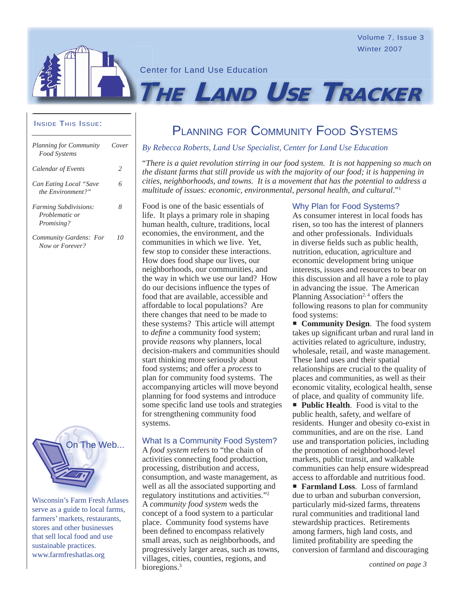Volume 7, Issue 3 Winter 2007

Center for Land Use Education

# INSIDE THIS ISSUE:

*Now or Forever?*

| Planning for Community<br>Food Systems                              | Cover |
|---------------------------------------------------------------------|-------|
| Calendar of Events                                                  | 2     |
| Can Eating Local "Save<br>the Environment?"                         | 6     |
| <i>Farming Subdivisions:</i><br>Problematic or<br><i>Promising?</i> | 8     |
| Community Gardens: For                                              | (1)   |



Wisconsin's Farm Fresh Atlases serve as a guide to local farms, farmers' markets, restaurants, stores and other businesses that sell local food and use sustainable practices. www.farmfreshatlas.org

# PLANNING FOR COMMUNITY FOOD SYSTEMS

**THE LAND USE TRACKER**

**By Rebecca Roberts, Land Use Specialist, Center for Land Use Education** 

"*There is a quiet revolution stirring in our food system. It is not happening so much on the distant farms that still provide us with the majority of our food; it is happening in cities, neighborhoods, and towns. It is a movement that has the potential to address a multitude of issues: economic, environmental, personal health, and cultural*."1

Food is one of the basic essentials of life. It plays a primary role in shaping human health, culture, traditions, local economies, the environment, and the communities in which we live. Yet, few stop to consider these interactions. How does food shape our lives, our neighborhoods, our communities, and the way in which we use our land? How do our decisions influence the types of food that are available, accessible and affordable to local populations? Are there changes that need to be made to these systems? This article will attempt to *define* a community food system; provide *reasons* why planners, local decision-makers and communities should start thinking more seriously about food systems; and offer a *process* to plan for community food systems. The accompanying articles will move beyond planning for food systems and introduce some specific land use tools and strategies for strengthening community food systems.

#### What Is a Community Food System?

A *food system* refers to "the chain of activities connecting food production, processing, distribution and access, consumption, and waste management, as well as all the associated supporting and regulatory institutions and activities."2 A *community food system* weds the concept of a food system to a particular place. Community food systems have been defined to encompass relatively small areas, such as neighborhoods, and progressively larger areas, such as towns, villages, cities, counties, regions, and bioregions.<sup>3</sup>

### Why Plan for Food Systems?

As consumer interest in local foods has risen, so too has the interest of planners and other professionals. Individuals in diverse fields such as public health, nutrition, education, agriculture and economic development bring unique interests, issues and resources to bear on this discussion and all have a role to play in advancing the issue. The American Planning Association<sup>2, 4</sup> offers the following reasons to plan for community food systems:

**Community Design.** The food system takes up significant urban and rural land in activities related to agriculture, industry, wholesale, retail, and waste management. These land uses and their spatial relationships are crucial to the quality of places and communities, as well as their economic vitality, ecological health, sense of place, and quality of community life.

**Public Health.** Food is vital to the public health, safety, and welfare of residents. Hunger and obesity co-exist in communities, and are on the rise. Land use and transportation policies, including the promotion of neighborhood-level markets, public transit, and walkable communities can help ensure widespread access to affordable and nutritious food.

 **Farmland Loss**. Loss of farmland due to urban and suburban conversion, particularly mid-sized farms, threatens rural communities and traditional land stewardship practices. Retirements among farmers, high land costs, and limited profitability are speeding the conversion of farmland and discouraging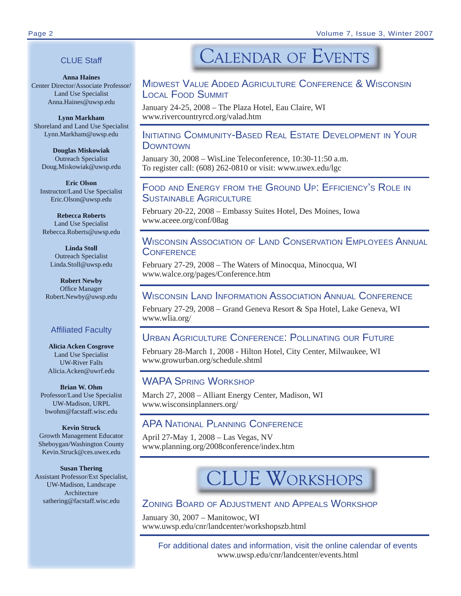# CLUE Staff

**Anna Haines** Center Director/Associate Professor/ Land Use Specialist Anna.Haines@uwsp.edu

**Lynn Markham** Shoreland and Land Use Specialist Lynn.Markham@uwsp.edu

**Douglas Miskowiak** Outreach Specialist Doug.Miskowiak@uwsp.edu

**Eric Olson** Instructor/Land Use Specialist Eric.Olson@uwsp.edu

**Rebecca Roberts** Land Use Specialist Rebecca.Roberts@uwsp.edu

**Linda Stoll** Outreach Specialist Linda.Stoll@uwsp.edu

**Robert Newby** Office Manager Robert.Newby@uwsp.edu

# **Affiliated Faculty**

**Alicia Acken Cosgrove** Land Use Specialist UW-River Falls Alicia.Acken@uwrf.edu

**Brian W. Ohm** Professor/Land Use Specialist UW-Madison, URPL bwohm@facstaff.wisc.edu

**Kevin Struck** Growth Management Educator Sheboygan/Washington County Kevin.Struck@ces.uwex.edu

**Susan Thering** Assistant Professor/Ext Specialist, UW-Madison, Landscape Architecture sathering@facstaff.wisc.edu

# **CALENDAR OF EVENTS**

# MIDWEST VALUE ADDED AGRICULTURE CONFERENCE & WISCONSIN LOCAL FOOD SUMMIT

January 24-25, 2008 – The Plaza Hotel, Eau Claire, WI www.rivercountryrcd.org/valad.htm

# INITIATING COMMUNITY-BASED REAL ESTATE DEVELOPMENT IN YOUR **DOWNTOWN**

January 30, 2008 – WisLine Teleconference, 10:30-11:50 a.m. To register call: (608) 262-0810 or visit: www.uwex.edu/lgc

# FOOD AND ENERGY FROM THE GROUND UP: EFFICIENCY'S ROLE IN SUSTAINABLE AGRICULTURE

February 20-22, 2008 – Embassy Suites Hotel, Des Moines, Iowa www.aceee.org/conf/08ag

# WISCONSIN ASSOCIATION OF LAND CONSERVATION EMPLOYEES ANNUAL **CONFERENCE**

February 27-29, 2008 – The Waters of Minocqua, Minocqua, WI www.walce.org/pages/Conference.htm

# WISCONSIN LAND INFORMATION ASSOCIATION ANNUAL CONFERENCE

February 27-29, 2008 – Grand Geneva Resort & Spa Hotel, Lake Geneva, WI www.wlia.org/

# URBAN AGRICULTURE CONFERENCE: POLLINATING OUR FUTURE

February 28-March 1, 2008 - Hilton Hotel, City Center, Milwaukee, WI www.growurban.org/schedule.shtml

# WAPA SPRING WORKSHOP

March 27, 2008 – Alliant Energy Center, Madison, WI www.wisconsinplanners.org/

# APA NATIONAL PLANNING CONFERENCE

April 27-May 1, 2008 – Las Vegas, NV www.planning.org/2008conference/index.htm

# **LUE WORKSHOPS**

# ZONING BOARD OF ADJUSTMENT AND APPEALS WORKSHOP

January 30, 2007 – Manitowoc, WI www.uwsp.edu/cnr/landcenter/workshopszb.html

> For additional dates and information, visit the online calendar of events www.uwsp.edu/cnr/landcenter/events.html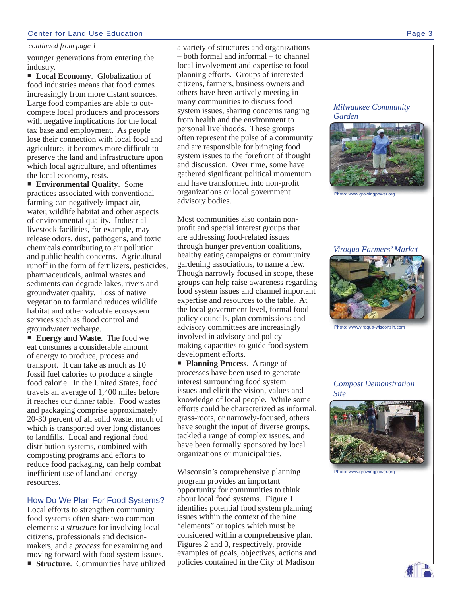#### Center for Land Use Education Page 3

#### *continued from page 1*

younger generations from entering the industry.

■ **Local Economy.** Globalization of food industries means that food comes increasingly from more distant sources. Large food companies are able to outcompete local producers and processors with negative implications for the local tax base and employment. As people lose their connection with local food and agriculture, it becomes more difficult to preserve the land and infrastructure upon which local agriculture, and oftentimes the local economy, rests.

 **Environmental Quality**. Some practices associated with conventional farming can negatively impact air, water, wildlife habitat and other aspects of environmental quality. Industrial livestock facilities, for example, may release odors, dust, pathogens, and toxic chemicals contributing to air pollution and public health concerns. Agricultural runoff in the form of fertilizers, pesticides, pharmaceuticals, animal wastes and sediments can degrade lakes, rivers and groundwater quality. Loss of native vegetation to farmland reduces wildlife habitat and other valuable ecosystem services such as flood control and groundwater recharge.

■ **Energy and Waste**. The food we eat consumes a considerable amount of energy to produce, process and transport. It can take as much as 10 fossil fuel calories to produce a single food calorie. In the United States, food travels an average of 1,400 miles before it reaches our dinner table. Food wastes and packaging comprise approximately 20-30 percent of all solid waste, much of which is transported over long distances to landfills. Local and regional food distribution systems, combined with composting programs and efforts to reduce food packaging, can help combat inefficient use of land and energy resources.

#### How Do We Plan For Food Systems?

Local efforts to strengthen community food systems often share two common elements: a *structure* for involving local citizens, professionals and decisionmakers, and a *process* for examining and moving forward with food system issues. **Structure.** Communities have utilized a variety of structures and organizations – both formal and informal – to channel local involvement and expertise to food planning efforts. Groups of interested citizens, farmers, business owners and others have been actively meeting in many communities to discuss food system issues, sharing concerns ranging from health and the environment to personal livelihoods. These groups often represent the pulse of a community and are responsible for bringing food system issues to the forefront of thought and discussion. Over time, some have gathered significant political momentum and have transformed into non-profit organizations or local government advisory bodies.

Most communities also contain nonprofit and special interest groups that are addressing food-related issues through hunger prevention coalitions, healthy eating campaigns or community gardening associations, to name a few. Though narrowly focused in scope, these groups can help raise awareness regarding food system issues and channel important expertise and resources to the table. At the local government level, formal food policy councils, plan commissions and advisory committees are increasingly involved in advisory and policymaking capacities to guide food system development efforts.

**Planning Process.** A range of processes have been used to generate interest surrounding food system issues and elicit the vision, values and knowledge of local people. While some efforts could be characterized as informal, grass-roots, or narrowly-focused, others have sought the input of diverse groups, tackled a range of complex issues, and have been formally sponsored by local organizations or municipalities.

Wisconsin's comprehensive planning program provides an important opportunity for communities to think about local food systems. Figure 1 identifies potential food system planning issues within the context of the nine "elements" or topics which must be considered within a comprehensive plan. Figures 2 and 3, respectively, provide examples of goals, objectives, actions and policies contained in the City of Madison

*Milwaukee Community Garden*



www.growingpower.org

# *Viroqua Farmers' Market*



Photo: www.viroqua-wisconsin.com

*Compost Demonstration Site*



Photo: www.growingpower.org

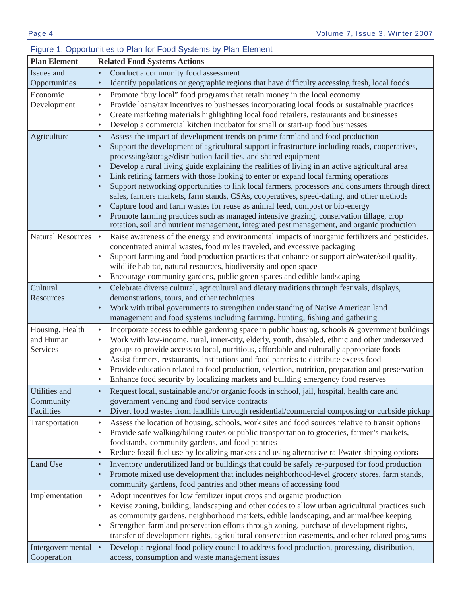#### **Plan Element** Related Food Systems Actions Issues and **Opportunities** Conduct a community food assessment • Identify populations or geographic regions that have difficulty accessing fresh, local foods Economic Development • Promote "buy local" food programs that retain money in the local economy • Provide loans/tax incentives to businesses incorporating local foods or sustainable practices • Create marketing materials highlighting local food retailers, restaurants and businesses • Develop a commercial kitchen incubator for small or start-up food businesses Agriculture **Assess the impact of development trends on prime farmland and food production** • Support the development of agricultural support infrastructure including roads, cooperatives, processing/storage/distribution facilities, and shared equipment • Develop a rural living guide explaining the realities of living in an active agricultural area Link retiring farmers with those looking to enter or expand local farming operations • Support networking opportunities to link local farmers, processors and consumers through direct sales, farmers markets, farm stands, CSAs, cooperatives, speed-dating, and other methods • Capture food and farm wastes for reuse as animal feed, compost or bio-energy Promote farming practices such as managed intensive grazing, conservation tillage, crop rotation, soil and nutrient management, integrated pest management, and organic production Natural Resources • Raise awareness of the energy and environmental impacts of inorganic fertilizers and pesticides, concentrated animal wastes, food miles traveled, and excessive packaging • Support farming and food production practices that enhance or support air/water/soil quality, wildlife habitat, natural resources, biodiversity and open space • Encourage community gardens, public green spaces and edible landscaping Cultural **Resources** • Celebrate diverse cultural, agricultural and dietary traditions through festivals, displays, demonstrations, tours, and other techniques • Work with tribal governments to strengthen understanding of Native American land management and food systems including farming, hunting, fishing and gathering Housing, Health and Human **Services** Incorporate access to edible gardening space in public housing, schools  $\&$  government buildings • Work with low-income, rural, inner-city, elderly, youth, disabled, ethnic and other underserved groups to provide access to local, nutritious, affordable and culturally appropriate foods • Assist farmers, restaurants, institutions and food pantries to distribute excess food • Provide education related to food production, selection, nutrition, preparation and preservation • Enhance food security by localizing markets and building emergency food reserves Utilities and **Community** Facilities • Request local, sustainable and/or organic foods in school, jail, hospital, health care and government vending and food service contracts • Divert food wastes from landfills through residential/commercial composting or curbside pickup Transportation  $\cdot$  Assess the location of housing, schools, work sites and food sources relative to transit options • Provide safe walking/biking routes or public transportation to groceries, farmer's markets, foodstands, community gardens, and food pantries Reduce fossil fuel use by localizing markets and using alternative rail/water shipping options Land Use  $\cdot$  Inventory underutilized land or buildings that could be safely re-purposed for food production • Promote mixed use development that includes neighborhood-level grocery stores, farm stands, community gardens, food pantries and other means of accessing food Implementation • Adopt incentives for low fertilizer input crops and organic production • Revise zoning, building, landscaping and other codes to allow urban agricultural practices such as community gardens, neighborhood markets, edible landscaping, and animal/bee keeping Strengthen farmland preservation efforts through zoning, purchase of development rights, transfer of development rights, agricultural conservation easements, and other related programs Intergovernmental Cooperation • Develop a regional food policy council to address food production, processing, distribution, access, consumption and waste management issues

# Figure 1: Opportunities to Plan for Food Systems by Plan Element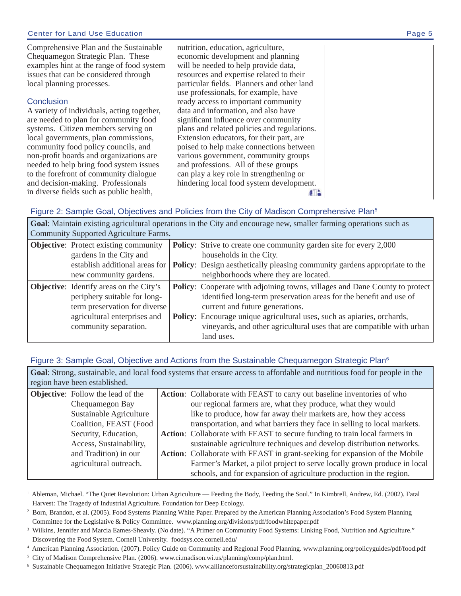Comprehensive Plan and the Sustainable Chequamegon Strategic Plan. These examples hint at the range of food system issues that can be considered through local planning processes.

# **Conclusion**

A variety of individuals, acting together, are needed to plan for community food systems. Citizen members serving on local governments, plan commissions, community food policy councils, and non-profit boards and organizations are needed to help bring food system issues to the forefront of community dialogue and decision-making. Professionals in diverse fields such as public health,

nutrition, education, agriculture, economic development and planning will be needed to help provide data, resources and expertise related to their particular fields. Planners and other land use professionals, for example, have ready access to important community data and information, and also have significant influence over community plans and related policies and regulations. Extension educators, for their part, are poised to help make connections between various government, community groups and professions. All of these groups can play a key role in strengthening or hindering local food system development.  $+$   $-$ 

# Figure 2: Sample Goal, Objectives and Policies from the City of Madison Comprehensive Plan<sup>5</sup>

**Goal**: Maintain existing agricultural operations in the City and encourage new, smaller farming operations such as Community Supported Agriculture Farms.

|  | <b>Objective:</b> Protect existing community   |  | <b>Policy:</b> Strive to create one community garden site for every 2,000          |  |
|--|------------------------------------------------|--|------------------------------------------------------------------------------------|--|
|  | gardens in the City and                        |  | households in the City.                                                            |  |
|  | establish additional areas for                 |  | Policy: Design aesthetically pleasing community gardens appropriate to the         |  |
|  | new community gardens.                         |  | neighborhoods where they are located.                                              |  |
|  | <b>Objective:</b> Identify areas on the City's |  | <b>Policy:</b> Cooperate with adjoining towns, villages and Dane County to protect |  |
|  | periphery suitable for long-                   |  | identified long-term preservation areas for the benefit and use of                 |  |
|  | term preservation for diverse                  |  | current and future generations.                                                    |  |
|  | agricultural enterprises and                   |  | Policy: Encourage unique agricultural uses, such as apiaries, orchards,            |  |
|  | community separation.                          |  | vineyards, and other agricultural uses that are compatible with urban              |  |
|  |                                                |  | land uses.                                                                         |  |

# Figure 3: Sample Goal, Objective and Actions from the Sustainable Chequamegon Strategic Plan<sup>6</sup>

| Goal: Strong, sustainable, and local food systems that ensure access to affordable and nutritious food for people in the<br>region have been established. |                                                                                                                                                                                                                        |  |                                                                                                                                                                                                                                                                                                                                                                                                                                                                                                                                                                                                           |  |
|-----------------------------------------------------------------------------------------------------------------------------------------------------------|------------------------------------------------------------------------------------------------------------------------------------------------------------------------------------------------------------------------|--|-----------------------------------------------------------------------------------------------------------------------------------------------------------------------------------------------------------------------------------------------------------------------------------------------------------------------------------------------------------------------------------------------------------------------------------------------------------------------------------------------------------------------------------------------------------------------------------------------------------|--|
|                                                                                                                                                           | <b>Objective:</b> Follow the lead of the<br>Chequamegon Bay<br>Sustainable Agriculture<br>Coalition, FEAST (Food<br>Security, Education,<br>Access, Sustainability,<br>and Tradition) in our<br>agricultural outreach. |  | Action: Collaborate with FEAST to carry out baseline inventories of who<br>our regional farmers are, what they produce, what they would<br>like to produce, how far away their markets are, how they access<br>transportation, and what barriers they face in selling to local markets.<br>Action: Collaborate with FEAST to secure funding to train local farmers in<br>sustainable agriculture techniques and develop distribution networks.<br>Action: Collaborate with FEAST in grant-seeking for expansion of the Mobile<br>Farmer's Market, a pilot project to serve locally grown produce in local |  |
|                                                                                                                                                           |                                                                                                                                                                                                                        |  | schools, and for expansion of agriculture production in the region.                                                                                                                                                                                                                                                                                                                                                                                                                                                                                                                                       |  |

<sup>1</sup> Ableman, Michael. "The Quiet Revolution: Urban Agriculture — Feeding the Body, Feeding the Soul." In Kimbrell, Andrew, Ed. (2002). Fatal Harvest: The Tragedy of Industrial Agriculture. Foundation for Deep Ecology.

- 5 City of Madison Comprehensive Plan. (2006). www.ci.madison.wi.us/planning/comp/plan.html.
- 6 Sustainable Chequamegon Initiative Strategic Plan. (2006). www.allianceforsustainability.org/strategicplan\_20060813.pdf

<sup>&</sup>lt;sup>2</sup> Born, Brandon, et al. (2005). Food Systems Planning White Paper. Prepared by the American Planning Association's Food System Planning Committee for the Legislative & Policy Committee. www.planning.org/divisions/pdf/foodwhitepaper.pdf

<sup>&</sup>lt;sup>3</sup> Wilkins, Jennifer and Marcia Eames-Sheavly. (No date). "A Primer on Community Food Systems: Linking Food, Nutrition and Agriculture." Discovering the Food System. Cornell University. foodsys.cce.cornell.edu/

<sup>4</sup> American Planning Association. (2007). Policy Guide on Community and Regional Food Planning. www.planning.org/policyguides/pdf/food.pdf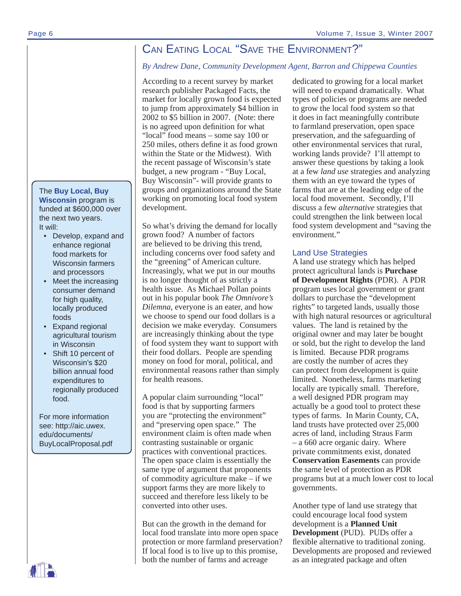# CAN EATING LOCAL "SAVE THE ENVIRONMENT?"

# *By Andrew Dane, Community Development Agent, Barron and Chippewa Counties*

According to a recent survey by market research publisher Packaged Facts, the market for locally grown food is expected to jump from approximately \$4 billion in 2002 to \$5 billion in 2007. (Note: there is no agreed upon definition for what "local" food means – some say 100 or 250 miles, others define it as food grown within the State or the Midwest). With the recent passage of Wisconsin's state budget, a new program - "Buy Local, Buy Wisconsin"- will provide grants to groups and organizations around the State working on promoting local food system development.

So what's driving the demand for locally grown food? A number of factors are believed to be driving this trend, including concerns over food safety and the "greening" of American culture. Increasingly, what we put in our mouths is no longer thought of as strictly a health issue. As Michael Pollan points out in his popular book *The Omnivore's Dilemna*, everyone is an eater, and how we choose to spend our food dollars is a decision we make everyday. Consumers are increasingly thinking about the type of food system they want to support with their food dollars. People are spending money on food for moral, political, and environmental reasons rather than simply for health reasons.

A popular claim surrounding "local" food is that by supporting farmers you are "protecting the environment" and "preserving open space." The environment claim is often made when contrasting sustainable or organic practices with conventional practices. The open space claim is essentially the same type of argument that proponents of commodity agriculture make – if we support farms they are more likely to succeed and therefore less likely to be converted into other uses.

But can the growth in the demand for local food translate into more open space protection or more farmland preservation? If local food is to live up to this promise, both the number of farms and acreage

dedicated to growing for a local market will need to expand dramatically. What types of policies or programs are needed to grow the local food system so that it does in fact meaningfully contribute to farmland preservation, open space preservation, and the safeguarding of other environmental services that rural, working lands provide? I'll attempt to answer these questions by taking a look at a few *land use* strategies and analyzing them with an eye toward the types of farms that are at the leading edge of the local food movement. Secondly, I'll discuss a few *alternative* strategies that could strengthen the link between local food system development and "saving the environment."

# Land Use Strategies

A land use strategy which has helped protect agricultural lands is **Purchase of Development Rights** (PDR). A PDR program uses local government or grant dollars to purchase the "development rights" to targeted lands, usually those with high natural resources or agricultural values. The land is retained by the original owner and may later be bought or sold, but the right to develop the land is limited. Because PDR programs are costly the number of acres they can protect from development is quite limited. Nonetheless, farms marketing locally are typically small. Therefore, a well designed PDR program may actually be a good tool to protect these types of farms. In Marin County, CA, land trusts have protected over 25,000 acres of land, including Straus Farm – a 660 acre organic dairy. Where private commitments exist, donated **Conservation Easements** can provide the same level of protection as PDR programs but at a much lower cost to local governments.

Another type of land use strategy that could encourage local food system development is a **Planned Unit Development** (PUD). PUDs offer a flexible alternative to traditional zoning. Developments are proposed and reviewed as an integrated package and often

The **Buy Local, Buy Wisconsin** program is funded at \$600,000 over the next two years. It will:

- Develop, expand and enhance regional food markets for Wisconsin farmers and processors
- Meet the increasing consumer demand for high quality, locally produced foods
- Expand regional agricultural tourism in Wisconsin
- Shift 10 percent of Wisconsin's \$20 billion annual food expenditures to regionally produced food.

For more information see: http://aic.uwex. edu/documents/ BuyLocalProposal.pdf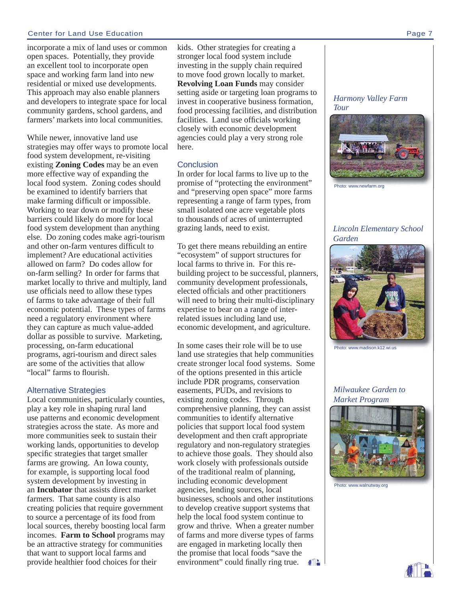#### Center for Land Use Education Page 7

incorporate a mix of land uses or common open spaces. Potentially, they provide an excellent tool to incorporate open space and working farm land into new residential or mixed use developments. This approach may also enable planners and developers to integrate space for local community gardens, school gardens, and farmers' markets into local communities.

While newer, innovative land use strategies may offer ways to promote local food system development, re-visiting existing **Zoning Codes** may be an even more effective way of expanding the local food system. Zoning codes should be examined to identify barriers that make farming difficult or impossible. Working to tear down or modify these barriers could likely do more for local food system development than anything else. Do zoning codes make agri-tourism and other on-farm ventures difficult to implement? Are educational activities allowed on farm? Do codes allow for on-farm selling? In order for farms that market locally to thrive and multiply, land use officials need to allow these types of farms to take advantage of their full economic potential. These types of farms need a regulatory environment where they can capture as much value-added dollar as possible to survive. Marketing, processing, on-farm educational programs, agri-tourism and direct sales are some of the activities that allow "local" farms to flourish.

#### Alternative Strategies

Local communities, particularly counties, play a key role in shaping rural land use patterns and economic development strategies across the state. As more and more communities seek to sustain their working lands, opportunities to develop specific strategies that target smaller farms are growing. An Iowa county, for example, is supporting local food system development by investing in an **Incubator** that assists direct market farmers. That same county is also creating policies that require government to source a percentage of its food from local sources, thereby boosting local farm incomes. **Farm to School** programs may be an attractive strategy for communities that want to support local farms and provide healthier food choices for their

kids. Other strategies for creating a stronger local food system include investing in the supply chain required to move food grown locally to market. **Revolving Loan Funds** may consider setting aside or targeting loan programs to invest in cooperative business formation, food processing facilities, and distribution facilities. Land use officials working closely with economic development agencies could play a very strong role here.

#### **Conclusion**

In order for local farms to live up to the promise of "protecting the environment" and "preserving open space" more farms representing a range of farm types, from small isolated one acre vegetable plots to thousands of acres of uninterrupted grazing lands, need to exist.

To get there means rebuilding an entire "ecosystem" of support structures for local farms to thrive in. For this rebuilding project to be successful, planners, community development professionals, elected officials and other practitioners will need to bring their multi-disciplinary expertise to bear on a range of interrelated issues including land use, economic development, and agriculture.

In some cases their role will be to use land use strategies that help communities create stronger local food systems. Some of the options presented in this article include PDR programs, conservation easements, PUDs, and revisions to existing zoning codes. Through comprehensive planning, they can assist communities to identify alternative policies that support local food system development and then craft appropriate regulatory and non-regulatory strategies to achieve those goals. They should also work closely with professionals outside of the traditional realm of planning, including economic development agencies, lending sources, local businesses, schools and other institutions to develop creative support systems that help the local food system continue to grow and thrive. When a greater number of farms and more diverse types of farms are engaged in marketing locally then the promise that local foods "save the environment" could finally ring true.  $f$   $\frac{1}{2}$ 

#### *Harmony Valley Farm Tour*



Photo: www.newfarm.org

### *Lincoln Elementary School Garden*



www.madison.k12.

*Milwaukee Garden to Market Program*



Photo: www.walnutway.org

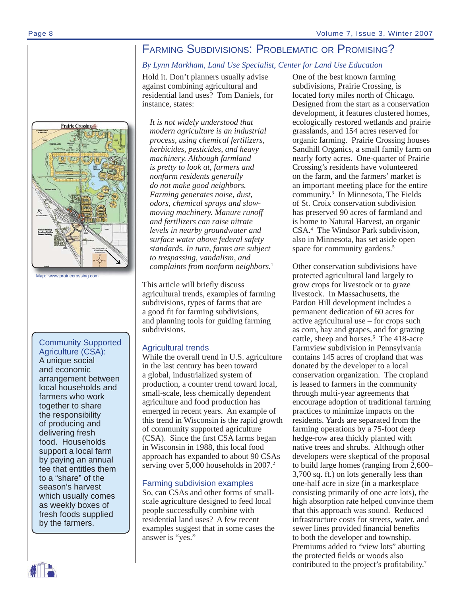# FARMING SUBDIVISIONS: PROBLEMATIC OR PROMISING?

### *By Lynn Markham, Land Use Specialist, Center for Land Use Education*

Hold it. Don't planners usually advise against combining agricultural and residential land uses? Tom Daniels, for instance, states:

*It is not widely understood that modern agriculture is an industrial process, using chemical fertilizers, herbicides, pesticides, and heavy machinery. Although farmland is pretty to look at, farmers and nonfarm residents generally do not make good neighbors. Farming generates noise, dust, odors, chemical sprays and slowmoving machinery. Manure runoff and fertilizers can raise nitrate levels in nearby groundwater and surface water above federal safety standards. In turn, farms are subject to trespassing, vandalism, and complaints from nonfarm neighbors.*<sup>1</sup>

This article will briefly discuss agricultural trends, examples of farming subdivisions, types of farms that are a good fit for farming subdivisions, and planning tools for guiding farming subdivisions.

#### Agricultural trends

While the overall trend in U.S. agriculture in the last century has been toward a global, industrialized system of production, a counter trend toward local, small-scale, less chemically dependent agriculture and food production has emerged in recent years. An example of this trend in Wisconsin is the rapid growth of community supported agriculture (CSA). Since the first CSA farms began in Wisconsin in 1988, this local food approach has expanded to about 90 CSAs serving over 5,000 households in 2007.<sup>2</sup>

# Farming subdivision examples

So, can CSAs and other forms of smallscale agriculture designed to feed local people successfully combine with residential land uses? A few recent examples suggest that in some cases the answer is "yes."

One of the best known farming subdivisions, Prairie Crossing, is located forty miles north of Chicago. Designed from the start as a conservation development, it features clustered homes, ecologically restored wetlands and prairie grasslands, and 154 acres reserved for organic farming. Prairie Crossing houses Sandhill Organics, a small family farm on nearly forty acres. One-quarter of Prairie Crossing's residents have volunteered on the farm, and the farmers' market is an important meeting place for the entire community.3 In Minnesota, The Fields of St. Croix conservation subdivision has preserved 90 acres of farmland and is home to Natural Harvest, an organic CSA.4 The Windsor Park subdivision, also in Minnesota, has set aside open space for community gardens.<sup>5</sup>

Other conservation subdivisions have protected agricultural land largely to grow crops for livestock or to graze livestock. In Massachusetts, the Pardon Hill development includes a permanent dedication of 60 acres for active agricultural use – for crops such as corn, hay and grapes, and for grazing cattle, sheep and horses.<sup>6</sup> The 418-acre Farmview subdivision in Pennsylvania contains 145 acres of cropland that was donated by the developer to a local conservation organization. The cropland is leased to farmers in the community through multi-year agreements that encourage adoption of traditional farming practices to minimize impacts on the residents. Yards are separated from the farming operations by a 75-foot deep hedge-row area thickly planted with native trees and shrubs. Although other developers were skeptical of the proposal to build large homes (ranging from 2,600– 3,700 sq. ft.) on lots generally less than one-half acre in size (in a marketplace consisting primarily of one acre lots), the high absorption rate helped convince them that this approach was sound. Reduced infrastructure costs for streets, water, and sewer lines provided financial benefits to both the developer and township. Premiums added to "view lots" abutting the protected fields or woods also contributed to the project's profitability.<sup>7</sup>



# Community Supported Agriculture (CSA):

A unique social and economic arrangement between local households and farmers who work together to share the responsibility of producing and delivering fresh food. Households support a local farm by paying an annual fee that entitles them to a "share" of the season's harvest which usually comes as weekly boxes of fresh foods supplied by the farmers.

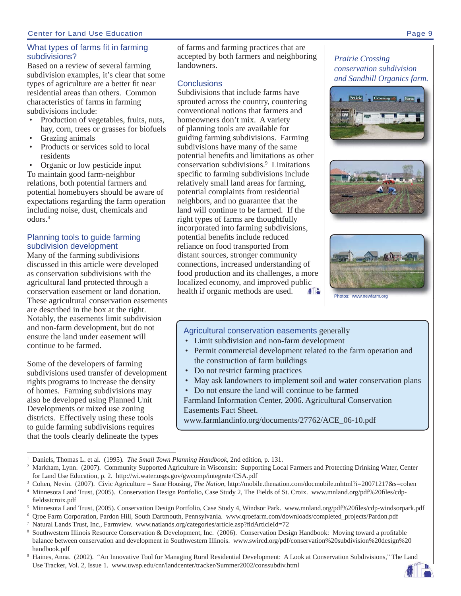# What types of farms fit in farming subdivisions?

Based on a review of several farming subdivision examples, it's clear that some types of agriculture are a better fit near residential areas than others. Common characteristics of farms in farming subdivisions include:

- Production of vegetables, fruits, nuts, hay, corn, trees or grasses for biofuels
- Grazing animals
- Products or services sold to local residents

• Organic or low pesticide input To maintain good farm-neighbor relations, both potential farmers and potential homebuyers should be aware of expectations regarding the farm operation including noise, dust, chemicals and odors<sup>8</sup>

# Planning tools to guide farming subdivision development

Many of the farming subdivisions discussed in this article were developed as conservation subdivisions with the agricultural land protected through a conservation easement or land donation. These agricultural conservation easements are described in the box at the right. Notably, the easements limit subdivision and non-farm development, but do not ensure the land under easement will continue to be farmed.

Some of the developers of farming subdivisions used transfer of development rights programs to increase the density of homes. Farming subdivisions may also be developed using Planned Unit Developments or mixed use zoning districts. Effectively using these tools to guide farming subdivisions requires that the tools clearly delineate the types

of farms and farming practices that are accepted by both farmers and neighboring landowners.

# **Conclusions**

Subdivisions that include farms have sprouted across the country, countering conventional notions that farmers and homeowners don't mix. A variety of planning tools are available for guiding farming subdivisions. Farming subdivisions have many of the same potential benefits and limitations as other conservation subdivisions.9 Limitations specific to farming subdivisions include relatively small land areas for farming, potential complaints from residential neighbors, and no guarantee that the land will continue to be farmed. If the right types of farms are thoughtfully incorporated into farming subdivisions, potential benefits include reduced reliance on food transported from distant sources, stronger community connections, increased understanding of food production and its challenges, a more localized economy, and improved public health if organic methods are used.  $\mathbf{f}$ 



Photos: www.newfarm.org

# Agricultural conservation easements generally

- Limit subdivision and non-farm development
- Permit commercial development related to the farm operation and the construction of farm buildings
- Do not restrict farming practices
- May ask landowners to implement soil and water conservation plans
- Do not ensure the land will continue to be farmed

Farmland Information Center, 2006. Agricultural Conservation Easements Fact Sheet.

www.farmlandinfo.org/documents/27762/ACE\_06-10.pdf

# *Prairie Crossing conservation subdivision and Sandhill Organics farm.*





<sup>1</sup> Daniels, Thomas L. et al. (1995). *The Small Town Planning Handbook*, 2nd edition, p. 131.

<sup>&</sup>lt;sup>2</sup> Markham, Lynn. (2007). Community Supported Agriculture in Wisconsin: Supporting Local Farmers and Protecting Drinking Water, Center for Land Use Education, p. 2. http://wi.water.usgs.gov/gwcomp/integrate/CSA.pdf

<sup>3</sup> Cohen, Nevin. (2007). Civic Agriculture = Sane Housing, *The Nation*, http://mobile.thenation.com/docmobile.mhtml?i=20071217&s=cohen

<sup>&</sup>lt;sup>4</sup> Minnesota Land Trust, (2005). Conservation Design Portfolio, Case Study 2, The Fields of St. Croix. www.mnland.org/pdf%20files/cdpfieldsstcroix.pdf

<sup>&</sup>lt;sup>5</sup> Minnesota Land Trust, (2005). Conservation Design Portfolio, Case Study 4, Windsor Park. www.mnland.org/pdf%20files/cdp-windsorpark.pdf

<sup>6</sup> Qroe Farm Corporation, Pardon Hill, South Dartmouth, Pennsylvania. www.qroefarm.com/downloads/completed\_projects/Pardon.pdf

<sup>&</sup>lt;sup>7</sup> Natural Lands Trust, Inc., Farmview. www.natlands.org/categories/article.asp?fldArticleId=72

<sup>&</sup>lt;sup>8</sup> Southwestern Illinois Resource Conservation & Development, Inc. (2006). Conservation Design Handbook: Moving toward a profitable balance between conservation and development in Southwestern Illinois. www.swircd.org/pdf/conservation%20subdivision%20design%20 handbook.pdf

<sup>9</sup> Haines, Anna. (2002). "An Innovative Tool for Managing Rural Residential Development: A Look at Conservation Subdivisions," The Land Use Tracker, Vol. 2, Issue 1. www.uwsp.edu/cnr/landcenter/tracker/Summer2002/conssubdiv.html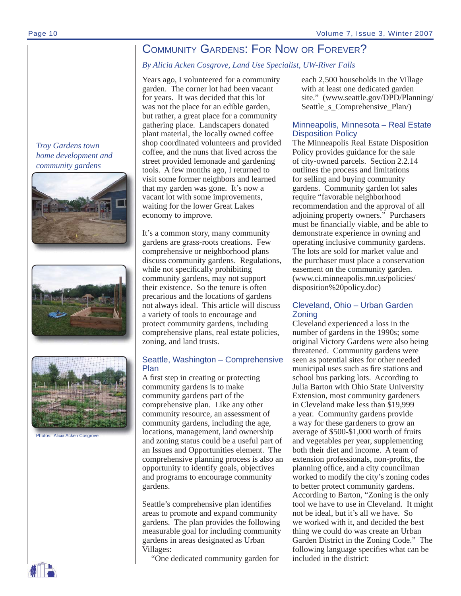# COMMUNITY GARDENS: FOR NOW OR FOREVER?

# *By Alicia Acken Cosgrove, Land Use Specialist, UW-River Falls*

Years ago, I volunteered for a community garden. The corner lot had been vacant for years. It was decided that this lot was not the place for an edible garden, but rather, a great place for a community gathering place. Landscapers donated plant material, the locally owned coffee shop coordinated volunteers and provided coffee, and the nuns that lived across the street provided lemonade and gardening tools. A few months ago, I returned to visit some former neighbors and learned that my garden was gone. It's now a vacant lot with some improvements, waiting for the lower Great Lakes economy to improve.

It's a common story, many community gardens are grass-roots creations. Few comprehensive or neighborhood plans discuss community gardens. Regulations, while not specifically prohibiting community gardens, may not support their existence. So the tenure is often precarious and the locations of gardens not always ideal. This article will discuss a variety of tools to encourage and protect community gardens, including comprehensive plans, real estate policies, zoning, and land trusts.

# Seattle, Washington – Comprehensive Plan

A first step in creating or protecting community gardens is to make community gardens part of the comprehensive plan. Like any other community resource, an assessment of community gardens, including the age, locations, management, land ownership and zoning status could be a useful part of an Issues and Opportunities element. The comprehensive planning process is also an opportunity to identify goals, objectives and programs to encourage community gardens.

Seattle's comprehensive plan identifies areas to promote and expand community gardens. The plan provides the following measurable goal for including community gardens in areas designated as Urban Villages:

"One dedicated community garden for

each 2,500 households in the Village with at least one dedicated garden site." (www.seattle.gov/DPD/Planning/ Seattle\_s\_Comprehensive\_Plan/)

# Minneapolis, Minnesota – Real Estate Disposition Policy

The Minneapolis Real Estate Disposition Policy provides guidance for the sale of city-owned parcels. Section 2.2.14 outlines the process and limitations for selling and buying community gardens. Community garden lot sales require "favorable neighborhood recommendation and the approval of all adjoining property owners." Purchasers must be financially viable, and be able to demonstrate experience in owning and operating inclusive community gardens. The lots are sold for market value and the purchaser must place a conservation easement on the community garden. (www.ci.minneapolis.mn.us/policies/ disposition%20policy.doc)

# Cleveland, Ohio – Urban Garden Zoning

Cleveland experienced a loss in the number of gardens in the 1990s; some original Victory Gardens were also being threatened. Community gardens were seen as potential sites for other needed municipal uses such as fire stations and school bus parking lots. According to Julia Barton with Ohio State University Extension, most community gardeners in Cleveland make less than \$19,999 a year. Community gardens provide a way for these gardeners to grow an average of \$500-\$1,000 worth of fruits and vegetables per year, supplementing both their diet and income. A team of extension professionals, non-profits, the planning office, and a city councilman worked to modify the city's zoning codes to better protect community gardens. According to Barton, "Zoning is the only tool we have to use in Cleveland. It might not be ideal, but it's all we have. So we worked with it, and decided the best thing we could do was create an Urban Garden District in the Zoning Code." The following language specifies what can be included in the district:

*Troy Gardens town home development and community gardens*







Photos: Alicia Acken Cosgrove

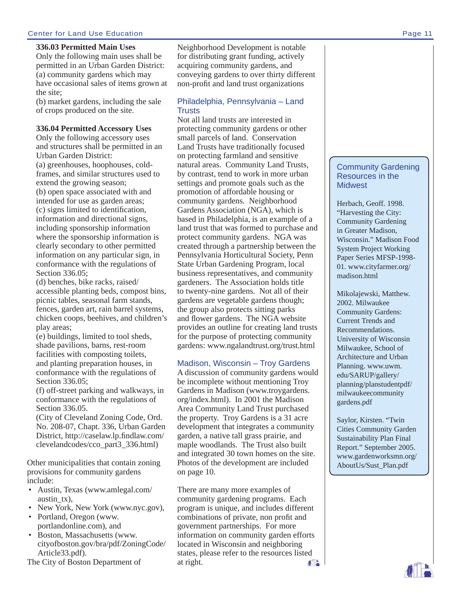#### Center for Land Use Education Page 11

#### **336.03 Permitted Main Uses**

Only the following main uses shall be permitted in an Urban Garden District: (a) community gardens which may have occasional sales of items grown at the site;

(b) market gardens, including the sale of crops produced on the site.

#### **336.04 Permitted Accessory Uses**

Only the following accessory uses and structures shall be permitted in an Urban Garden District: (a) greenhouses, hoophouses, coldframes, and similar structures used to extend the growing season; (b) open space associated with and intended for use as garden areas; (c) signs limited to identification, information and directional signs, including sponsorship information where the sponsorship information is clearly secondary to other permitted information on any particular sign, in conformance with the regulations of Section 336.05;

(d) benches, bike racks, raised/ accessible planting beds, compost bins, picnic tables, seasonal farm stands, fences, garden art, rain barrel systems, chicken coops, beehives, and children's play areas;

(e) buildings, limited to tool sheds, shade pavilions, barns, rest-room facilities with composting toilets, and planting preparation houses, in conformance with the regulations of Section 336.05;

(f) off-street parking and walkways, in conformance with the regulations of Section 336.05.

(City of Cleveland Zoning Code, Ord. No. 208-07, Chapt. 336, Urban Garden District, http://caselaw.lp.findlaw.com/ clevelandcodes/cco\_part3\_336.html)

Other municipalities that contain zoning provisions for community gardens include:

- Austin, Texas (www.amlegal.com/ austin\_tx),
- New York, New York (www.nyc.gov),
- Portland, Oregon (www. portlandonline.com), and
- Boston, Massachusetts (www. cityofboston.gov/bra/pdf/ZoningCode/ Article33.pdf).

The City of Boston Department of

Neighborhood Development is notable for distributing grant funding, actively acquiring community gardens, and conveying gardens to over thirty different non-profit and land trust organizations

### Philadelphia, Pennsylvania – Land **Trusts**

Not all land trusts are interested in protecting community gardens or other small parcels of land. Conservation Land Trusts have traditionally focused on protecting farmland and sensitive natural areas. Community Land Trusts, by contrast, tend to work in more urban settings and promote goals such as the promotion of affordable housing or community gardens. Neighborhood Gardens Association (NGA), which is based in Philadelphia, is an example of a land trust that was formed to purchase and protect community gardens. NGA was created through a partnership between the Pennsylvania Horticultural Society, Penn State Urban Gardening Program, local business representatives, and community gardeners. The Association holds title to twenty-nine gardens. Not all of their gardens are vegetable gardens though; the group also protects sitting parks and flower gardens. The NGA website provides an outline for creating land trusts for the purpose of protecting community gardens: www.ngalandtrust.org/trust.html

#### Madison, Wisconsin – Troy Gardens

A discussion of community gardens would be incomplete without mentioning Troy Gardens in Madison (www.troygardens. org/index.html). In 2001 the Madison Area Community Land Trust purchased the property. Troy Gardens is a 31 acre development that integrates a community garden, a native tall grass prairie, and maple woodlands. The Trust also built and integrated 30 town homes on the site. Photos of the development are included on page 10.

There are many more examples of community gardening programs. Each program is unique, and includes different combinations of private, non profit and government partnerships. For more information on community garden efforts located in Wisconsin and neighboring states, please refer to the resources listed at right.  $f<sup>2</sup>$ 

#### Community Gardening Resources in the **Midwest**

Herbach, Geoff. 1998. "Harvesting the City: Community Gardening in Greater Madison, Wisconsin." Madison Food System Project Working Paper Series MFSP-1998- 01. www.cityfarmer.org/ madison.html

Mikolajewski, Matthew. 2002. Milwaukee Community Gardens: Current Trends and Recommendations. University of Wisconsin Milwaukee, School of Architecture and Urban Planning. www.uwm. edu/SARUP/gallery/ planning/planstudentpdf/ milwaukeecommunity gardens.pdf

Saylor, Kirsten. "Twin Cities Community Garden Sustainability Plan Final Report." September 2005. www.gardenworksmn.org/ AboutUs/Sust\_Plan.pdf